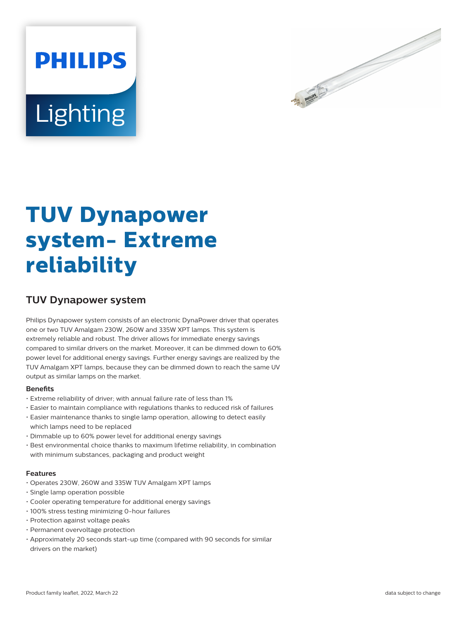



# **TUV Dynapower system- Extreme reliability**

# **TUV Dynapower system**

Philips Dynapower system consists of an electronic DynaPower driver that operates one or two TUV Amalgam 230W, 260W and 335W XPT lamps. This system is extremely reliable and robust. The driver allows for immediate energy savings compared to similar drivers on the market. Moreover, it can be dimmed down to 60% power level for additional energy savings. Further energy savings are realized by the TUV Amalgam XPT lamps, because they can be dimmed down to reach the same UV output as similar lamps on the market.

#### **Benets**

- Extreme reliability of driver; with annual failure rate of less than 1%
- Easier to maintain compliance with regulations thanks to reduced risk of failures
- Easier maintenance thanks to single lamp operation, allowing to detect easily which lamps need to be replaced
- Dimmable up to 60% power level for additional energy savings
- Best environmental choice thanks to maximum lifetime reliability, in combination with minimum substances, packaging and product weight

#### **Features**

- Operates 230W, 260W and 335W TUV Amalgam XPT lamps
- Single lamp operation possible
- Cooler operating temperature for additional energy savings
- 100% stress testing minimizing 0-hour failures
- Protection against voltage peaks
- Permanent overvoltage protection
- Approximately 20 seconds start-up time (compared with 90 seconds for similar drivers on the market)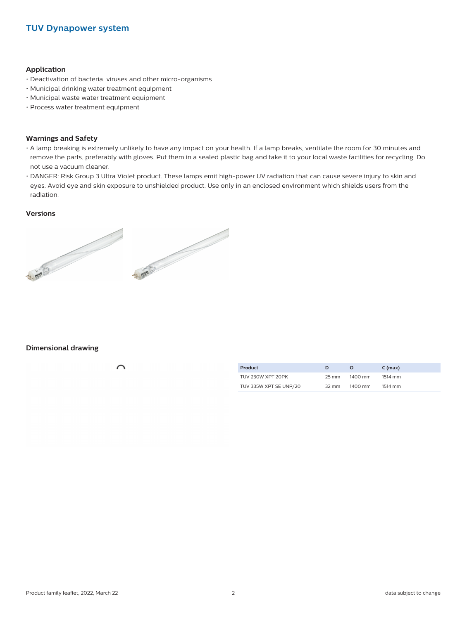### **TUV Dynapower system**

#### **Application**

- Deactivation of bacteria, viruses and other micro-organisms
- Municipal drinking water treatment equipment
- Municipal waste water treatment equipment
- Process water treatment equipment

#### **Warnings and Safety**

- A lamp breaking is extremely unlikely to have any impact on your health. If a lamp breaks, ventilate the room for 30 minutes and remove the parts, preferably with gloves. Put them in a sealed plastic bag and take it to your local waste facilities for recycling. Do not use a vacuum cleaner.
- DANGER: Risk Group 3 Ultra Violet product. These lamps emit high-power UV radiation that can cause severe injury to skin and eyes. Avoid eye and skin exposure to unshielded product. Use only in an enclosed environment which shields users from the radiation.

#### **Versions**



#### **Dimensional drawing**

 $\sim$ 

| Product                | D               | $\Omega$ | $C$ (max) |
|------------------------|-----------------|----------|-----------|
| TUV 230W XPT 20PK      | 25 mm           | 1400 mm  | 1514 mm   |
| TUV 335W XPT SE UNP/20 | $32 \text{ mm}$ | 1400 mm  | 1514 mm   |